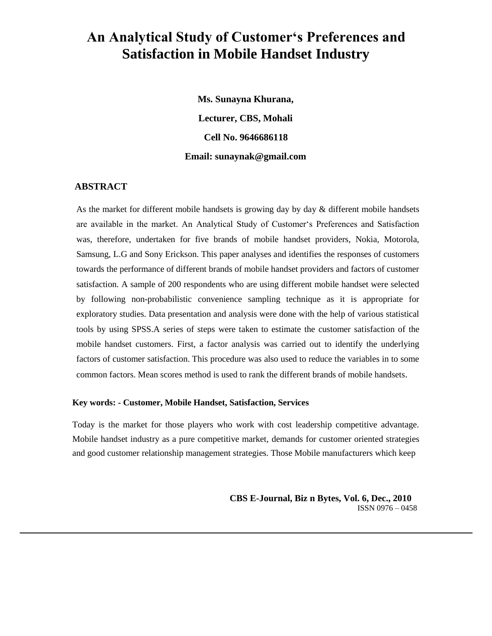# **An Analytical Study of Customer's Preferences and Satisfaction in Mobile Handset Industry**

**Ms. Sunayna Khurana, Lecturer, CBS, Mohali Cell No. 9646686118 Email: sunaynak@gmail.com**

# **ABSTRACT**

As the market for different mobile handsets is growing day by day & different mobile handsets are available in the market. An Analytical Study of Customer's Preferences and Satisfaction was, therefore, undertaken for five brands of mobile handset providers, Nokia, Motorola, Samsung, L.G and Sony Erickson. This paper analyses and identifies the responses of customers towards the performance of different brands of mobile handset providers and factors of customer satisfaction. A sample of 200 respondents who are using different mobile handset were selected by following non-probabilistic convenience sampling technique as it is appropriate for exploratory studies. Data presentation and analysis were done with the help of various statistical tools by using SPSS.A series of steps were taken to estimate the customer satisfaction of the mobile handset customers. First, a factor analysis was carried out to identify the underlying factors of customer satisfaction. This procedure was also used to reduce the variables in to some common factors. Mean scores method is used to rank the different brands of mobile handsets.

### **Key words: - Customer, Mobile Handset, Satisfaction, Services**

Today is the market for those players who work with cost leadership competitive advantage. Mobile handset industry as a pure competitive market, demands for customer oriented strategies and good customer relationship management strategies. Those Mobile manufacturers which keep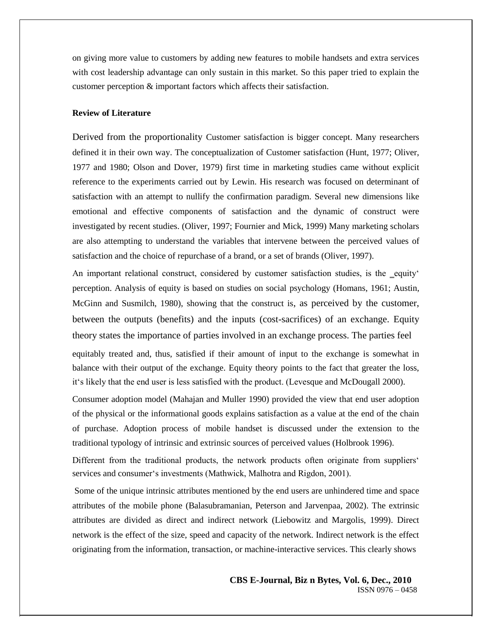on giving more value to customers by adding new features to mobile handsets and extra services with cost leadership advantage can only sustain in this market. So this paper tried to explain the customer perception & important factors which affects their satisfaction.

#### **Review of Literature**

Derived from the proportionality Customer satisfaction is bigger concept. Many researchers defined it in their own way. The conceptualization of Customer satisfaction (Hunt, 1977; Oliver, 1977 and 1980; Olson and Dover, 1979) first time in marketing studies came without explicit reference to the experiments carried out by Lewin. His research was focused on determinant of satisfaction with an attempt to nullify the confirmation paradigm. Several new dimensions like emotional and effective components of satisfaction and the dynamic of construct were investigated by recent studies. (Oliver, 1997; Fournier and Mick, 1999) Many marketing scholars are also attempting to understand the variables that intervene between the perceived values of satisfaction and the choice of repurchase of a brand, or a set of brands (Oliver, 1997).

An important relational construct, considered by customer satisfaction studies, is the equity' perception. Analysis of equity is based on studies on social psychology (Homans, 1961; Austin, McGinn and Susmilch, 1980), showing that the construct is, as perceived by the customer, between the outputs (benefits) and the inputs (cost-sacrifices) of an exchange. Equity theory states the importance of parties involved in an exchange process. The parties feel

equitably treated and, thus, satisfied if their amount of input to the exchange is somewhat in balance with their output of the exchange. Equity theory points to the fact that greater the loss, it's likely that the end user is less satisfied with the product. (Levesque and McDougall 2000).

Consumer adoption model (Mahajan and Muller 1990) provided the view that end user adoption of the physical or the informational goods explains satisfaction as a value at the end of the chain of purchase. Adoption process of mobile handset is discussed under the extension to the traditional typology of intrinsic and extrinsic sources of perceived values (Holbrook 1996).

Different from the traditional products, the network products often originate from suppliers' services and consumer's investments (Mathwick, Malhotra and Rigdon, 2001).

Some of the unique intrinsic attributes mentioned by the end users are unhindered time and space attributes of the mobile phone (Balasubramanian, Peterson and Jarvenpaa, 2002). The extrinsic attributes are divided as direct and indirect network (Liebowitz and Margolis, 1999). Direct network is the effect of the size, speed and capacity of the network. Indirect network is the effect originating from the information, transaction, or machine-interactive services. This clearly shows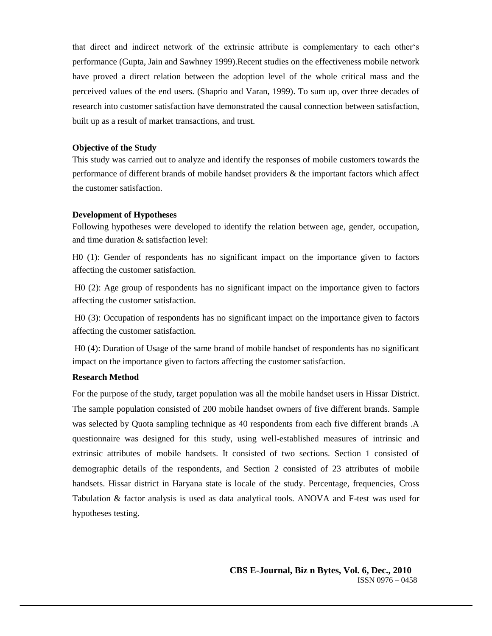that direct and indirect network of the extrinsic attribute is complementary to each other's performance (Gupta, Jain and Sawhney 1999).Recent studies on the effectiveness mobile network have proved a direct relation between the adoption level of the whole critical mass and the perceived values of the end users. (Shaprio and Varan, 1999). To sum up, over three decades of research into customer satisfaction have demonstrated the causal connection between satisfaction, built up as a result of market transactions, and trust.

### **Objective of the Study**

This study was carried out to analyze and identify the responses of mobile customers towards the performance of different brands of mobile handset providers & the important factors which affect the customer satisfaction.

#### **Development of Hypotheses**

Following hypotheses were developed to identify the relation between age, gender, occupation, and time duration & satisfaction level:

H0 (1): Gender of respondents has no significant impact on the importance given to factors affecting the customer satisfaction.

H0 (2): Age group of respondents has no significant impact on the importance given to factors affecting the customer satisfaction.

H0 (3): Occupation of respondents has no significant impact on the importance given to factors affecting the customer satisfaction.

H0 (4): Duration of Usage of the same brand of mobile handset of respondents has no significant impact on the importance given to factors affecting the customer satisfaction.

#### **Research Method**

For the purpose of the study, target population was all the mobile handset users in Hissar District. The sample population consisted of 200 mobile handset owners of five different brands. Sample was selected by Quota sampling technique as 40 respondents from each five different brands .A questionnaire was designed for this study, using well-established measures of intrinsic and extrinsic attributes of mobile handsets. It consisted of two sections. Section 1 consisted of demographic details of the respondents, and Section 2 consisted of 23 attributes of mobile handsets. Hissar district in Haryana state is locale of the study. Percentage, frequencies, Cross Tabulation & factor analysis is used as data analytical tools. ANOVA and F-test was used for hypotheses testing.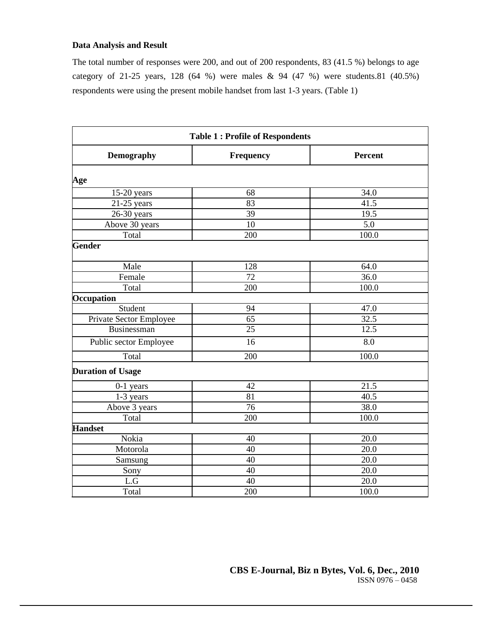# **Data Analysis and Result**

The total number of responses were 200, and out of 200 respondents, 83 (41.5 %) belongs to age category of 21-25 years, 128 (64 %) were males & 94 (47 %) were students.81 (40.5%) respondents were using the present mobile handset from last 1-3 years. (Table 1)

| <b>Table 1: Profile of Respondents</b> |                  |         |  |  |  |  |  |
|----------------------------------------|------------------|---------|--|--|--|--|--|
| <b>Demography</b>                      | <b>Frequency</b> | Percent |  |  |  |  |  |
| Age                                    |                  |         |  |  |  |  |  |
| $15-20$ years                          | 68               | 34.0    |  |  |  |  |  |
| $21-25$ years                          | 83               | 41.5    |  |  |  |  |  |
| $26-30$ years                          | 39               | 19.5    |  |  |  |  |  |
| Above 30 years                         | 10               | 5.0     |  |  |  |  |  |
| Total                                  | 200              | 100.0   |  |  |  |  |  |
| <b>Gender</b>                          |                  |         |  |  |  |  |  |
| Male                                   | 128              | 64.0    |  |  |  |  |  |
| Female                                 | 72               | 36.0    |  |  |  |  |  |
| Total                                  | 200              | 100.0   |  |  |  |  |  |
| Occupation                             |                  |         |  |  |  |  |  |
| Student                                | 94               | 47.0    |  |  |  |  |  |
| Private Sector Employee                | 65               | 32.5    |  |  |  |  |  |
| Businessman                            | 25               | 12.5    |  |  |  |  |  |
| Public sector Employee                 | 16               | 8.0     |  |  |  |  |  |
| Total                                  | 200              | 100.0   |  |  |  |  |  |
| <b>Duration of Usage</b>               |                  |         |  |  |  |  |  |
| $0-1$ years                            | 42               | 21.5    |  |  |  |  |  |
| 1-3 years                              | 81               | 40.5    |  |  |  |  |  |
| Above 3 years                          | $\overline{76}$  | 38.0    |  |  |  |  |  |
| Total                                  | 200              | 100.0   |  |  |  |  |  |
| <b>Handset</b>                         |                  |         |  |  |  |  |  |
| Nokia                                  | 40               | 20.0    |  |  |  |  |  |
| Motorola                               | 40               | 20.0    |  |  |  |  |  |
| Samsung                                | 40               | 20.0    |  |  |  |  |  |
| Sony                                   | $\overline{40}$  | 20.0    |  |  |  |  |  |
| $\mathop{\rm L{}}\nolimits. G$         | 40               | 20.0    |  |  |  |  |  |
| Total                                  | 200              | 100.0   |  |  |  |  |  |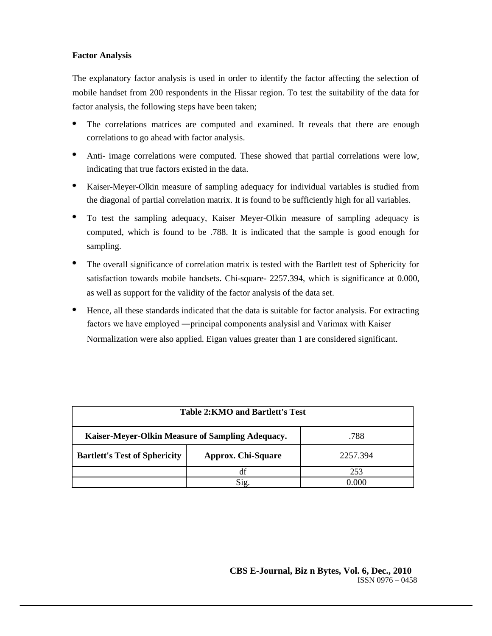# **Factor Analysis**

The explanatory factor analysis is used in order to identify the factor affecting the selection of mobile handset from 200 respondents in the Hissar region. To test the suitability of the data for factor analysis, the following steps have been taken;

- The correlations matrices are computed and examined. It reveals that there are enough correlations to go ahead with factor analysis.
- $\bullet$ Anti- image correlations were computed. These showed that partial correlations were low, indicating that true factors existed in the data.
- $\bullet$ Kaiser-Meyer-Olkin measure of sampling adequacy for individual variables is studied from the diagonal of partial correlation matrix. It is found to be sufficiently high for all variables.
- $\bullet$ To test the sampling adequacy, Kaiser Meyer-Olkin measure of sampling adequacy is computed, which is found to be .788. It is indicated that the sample is good enough for sampling.
- $\bullet$ The overall significance of correlation matrix is tested with the Bartlett test of Sphericity for satisfaction towards mobile handsets. Chi-square- 2257.394, which is significance at 0.000, as well as support for the validity of the factor analysis of the data set.
- Hence, all these standards indicated that the data is suitable for factor analysis. For extracting factors we have employed ―principal components analysis‖ and Varimax with Kaiser Normalization were also applied. Eigan values greater than 1 are considered significant.

| Table 2:KMO and Bartlett's Test                          |                           |          |  |  |  |  |  |  |
|----------------------------------------------------------|---------------------------|----------|--|--|--|--|--|--|
| Kaiser-Meyer-Olkin Measure of Sampling Adequacy.<br>.788 |                           |          |  |  |  |  |  |  |
| <b>Bartlett's Test of Sphericity</b>                     | <b>Approx. Chi-Square</b> | 2257.394 |  |  |  |  |  |  |
| 253<br>df                                                |                           |          |  |  |  |  |  |  |
|                                                          | Sig.                      | 0.000    |  |  |  |  |  |  |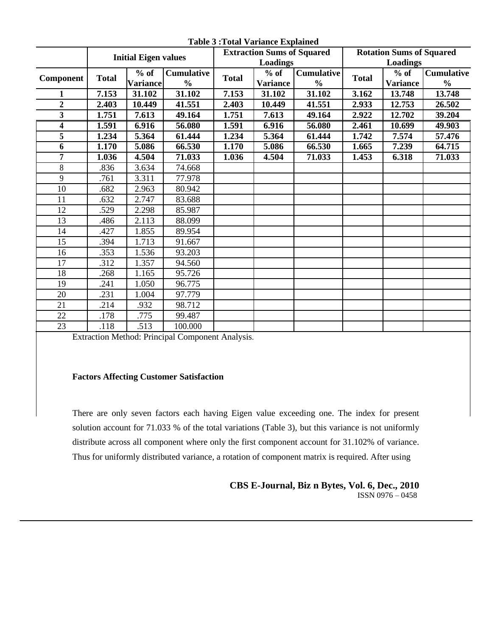|                         | <b>Initial Eigen values</b> |                 |                   | <b>Extraction Sums of Squared</b> |                 |                   | <b>Rotation Sums of Squared</b> |                 |                   |
|-------------------------|-----------------------------|-----------------|-------------------|-----------------------------------|-----------------|-------------------|---------------------------------|-----------------|-------------------|
|                         |                             |                 |                   | Loadings                          |                 |                   |                                 | <b>Loadings</b> |                   |
| Component               | <b>Total</b>                | $%$ of          | <b>Cumulative</b> | <b>Total</b>                      | $%$ of          | <b>Cumulative</b> | <b>Total</b>                    | $%$ of          | <b>Cumulative</b> |
|                         |                             | <b>Variance</b> | $\frac{0}{0}$     |                                   | <b>Variance</b> | $\frac{0}{0}$     |                                 | <b>Variance</b> | $\frac{0}{0}$     |
|                         | 7.153                       | 31.102          | 31.102            | 7.153                             | 31.102          | 31.102            | 3.162                           | 13.748          | 13.748            |
| $\overline{\mathbf{c}}$ | 2.403                       | 10.449          | 41.551            | 2.403                             | 10.449          | 41.551            | 2.933                           | 12.753          | 26.502            |
| $\overline{\mathbf{3}}$ | 1.751                       | 7.613           | 49.164            | 1.751                             | 7.613           | 49.164            | 2.922                           | 12.702          | 39.204            |
| 4                       | 1.591                       | 6.916           | 56.080            | 1.591                             | 6.916           | 56.080            | 2.461                           | 10.699          | 49.903            |
| 5                       | 1.234                       | 5.364           | 61.444            | 1.234                             | 5.364           | 61.444            | 1.742                           | 7.574           | 57.476            |
| 6                       | 1.170                       | 5.086           | 66.530            | 1.170                             | 5.086           | 66.530            | 1.665                           | 7.239           | 64.715            |
| 7                       | 1.036                       | 4.504           | 71.033            | 1.036                             | 4.504           | 71.033            | 1.453                           | 6.318           | 71.033            |
| 8                       | .836                        | 3.634           | 74.668            |                                   |                 |                   |                                 |                 |                   |
| 9                       | .761                        | 3.311           | 77.978            |                                   |                 |                   |                                 |                 |                   |
| 10                      | .682                        | 2.963           | 80.942            |                                   |                 |                   |                                 |                 |                   |
| 11                      | .632                        | 2.747           | 83.688            |                                   |                 |                   |                                 |                 |                   |
| 12                      | .529                        | 2.298           | 85.987            |                                   |                 |                   |                                 |                 |                   |
| 13                      | .486                        | 2.113           | 88.099            |                                   |                 |                   |                                 |                 |                   |
| 14                      | .427                        | 1.855           | 89.954            |                                   |                 |                   |                                 |                 |                   |
| 15                      | .394                        | 1.713           | 91.667            |                                   |                 |                   |                                 |                 |                   |
| 16                      | .353                        | 1.536           | 93.203            |                                   |                 |                   |                                 |                 |                   |
| 17                      | .312                        | 1.357           | 94.560            |                                   |                 |                   |                                 |                 |                   |
| 18                      | .268                        | 1.165           | 95.726            |                                   |                 |                   |                                 |                 |                   |
| 19                      | .241                        | 1.050           | 96.775            |                                   |                 |                   |                                 |                 |                   |
| 20                      | .231                        | 1.004           | 97.779            |                                   |                 |                   |                                 |                 |                   |
| 21                      | .214                        | .932            | 98.712            |                                   |                 |                   |                                 |                 |                   |
| 22                      | .178                        | .775            | 99.487            |                                   |                 |                   |                                 |                 |                   |
| 23                      | .118                        | .513            | 100.000           |                                   |                 |                   |                                 |                 |                   |
|                         |                             |                 |                   |                                   |                 |                   |                                 |                 |                   |

**Table 3 :Total Variance Explained**

Extraction Method: Principal Component Analysis.

# **Factors Affecting Customer Satisfaction**

There are only seven factors each having Eigen value exceeding one. The index for present solution account for 71.033 % of the total variations (Table 3), but this variance is not uniformly distribute across all component where only the first component account for 31.102% of variance. Thus for uniformly distributed variance, a rotation of component matrix is required. After using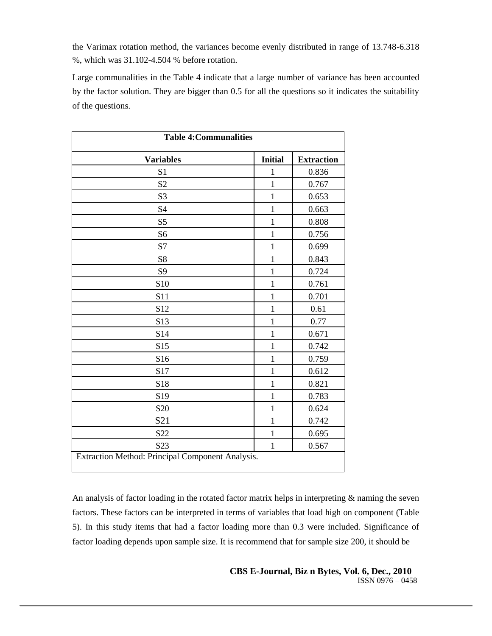the Varimax rotation method, the variances become evenly distributed in range of 13.748-6.318 %, which was 31.102-4.504 % before rotation.

Large communalities in the Table 4 indicate that a large number of variance has been accounted by the factor solution. They are bigger than 0.5 for all the questions so it indicates the suitability of the questions.

| <b>Table 4: Communalities</b> |                |                   |  |  |  |  |  |
|-------------------------------|----------------|-------------------|--|--|--|--|--|
| <b>Variables</b>              | <b>Initial</b> | <b>Extraction</b> |  |  |  |  |  |
| S <sub>1</sub>                | 1              | 0.836             |  |  |  |  |  |
| S <sub>2</sub>                | $\mathbf{1}$   | 0.767             |  |  |  |  |  |
| S <sub>3</sub>                | $\mathbf{1}$   | 0.653             |  |  |  |  |  |
| <b>S4</b>                     | $\mathbf{1}$   | 0.663             |  |  |  |  |  |
| S <sub>5</sub>                | $\mathbf{1}$   | 0.808             |  |  |  |  |  |
| S <sub>6</sub>                | $\mathbf{1}$   | 0.756             |  |  |  |  |  |
| S7                            | $\mathbf{1}$   | 0.699             |  |  |  |  |  |
| S8                            | $\mathbf{1}$   | 0.843             |  |  |  |  |  |
| <b>S9</b>                     | $\mathbf{1}$   | 0.724             |  |  |  |  |  |
| S10                           | $\mathbf{1}$   | 0.761             |  |  |  |  |  |
| S11                           | $\mathbf{1}$   | 0.701             |  |  |  |  |  |
| S <sub>12</sub>               | $\mathbf{1}$   | 0.61              |  |  |  |  |  |
| S13                           | $\mathbf{1}$   | 0.77              |  |  |  |  |  |
| S14                           | $\mathbf{1}$   | 0.671             |  |  |  |  |  |
| S15                           | $\mathbf{1}$   | 0.742             |  |  |  |  |  |
| S16                           | $\mathbf{1}$   | 0.759             |  |  |  |  |  |
| S17                           | $\mathbf{1}$   | 0.612             |  |  |  |  |  |
| S18                           | $\mathbf{1}$   | 0.821             |  |  |  |  |  |
| S19                           | 1              | 0.783             |  |  |  |  |  |
| S <sub>20</sub>               | $\mathbf{1}$   | 0.624             |  |  |  |  |  |
| S <sub>21</sub>               | $\mathbf{1}$   | 0.742             |  |  |  |  |  |
| S22                           | $\mathbf{1}$   | 0.695             |  |  |  |  |  |
| S <sub>2</sub> 3              | $\mathbf{1}$   | 0.567             |  |  |  |  |  |

An analysis of factor loading in the rotated factor matrix helps in interpreting & naming the seven factors. These factors can be interpreted in terms of variables that load high on component (Table 5). In this study items that had a factor loading more than 0.3 were included. Significance of factor loading depends upon sample size. It is recommend that for sample size 200, it should be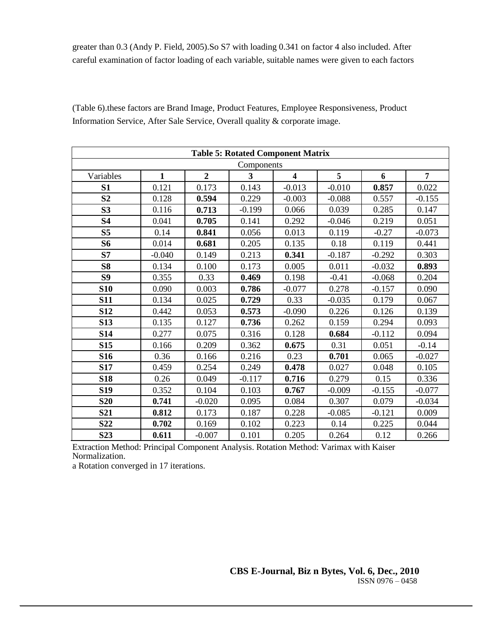greater than 0.3 (Andy P. Field, 2005).So S7 with loading 0.341 on factor 4 also included. After careful examination of factor loading of each variable, suitable names were given to each factors

| <b>Table 5: Rotated Component Matrix</b> |              |                |                |                         |          |          |                |  |  |  |  |  |
|------------------------------------------|--------------|----------------|----------------|-------------------------|----------|----------|----------------|--|--|--|--|--|
|                                          | Components   |                |                |                         |          |          |                |  |  |  |  |  |
| Variables                                | $\mathbf{1}$ | $\overline{2}$ | $\overline{3}$ | $\overline{\mathbf{4}}$ | 5        | 6        | $\overline{7}$ |  |  |  |  |  |
| S <sub>1</sub>                           | 0.121        | 0.173          | 0.143          | $-0.013$                | $-0.010$ | 0.857    | 0.022          |  |  |  |  |  |
| S <sub>2</sub>                           | 0.128        | 0.594          | 0.229          | $-0.003$                | $-0.088$ | 0.557    | $-0.155$       |  |  |  |  |  |
| S <sub>3</sub>                           | 0.116        | 0.713          | $-0.199$       | 0.066                   | 0.039    | 0.285    | 0.147          |  |  |  |  |  |
| <b>S4</b>                                | 0.041        | 0.705          | 0.141          | 0.292                   | $-0.046$ | 0.219    | 0.051          |  |  |  |  |  |
| S <sub>5</sub>                           | 0.14         | 0.841          | 0.056          | 0.013                   | 0.119    | $-0.27$  | $-0.073$       |  |  |  |  |  |
| <b>S6</b>                                | 0.014        | 0.681          | 0.205          | 0.135                   | 0.18     | 0.119    | 0.441          |  |  |  |  |  |
| S7                                       | $-0.040$     | 0.149          | 0.213          | 0.341                   | $-0.187$ | $-0.292$ | 0.303          |  |  |  |  |  |
| <b>S8</b>                                | 0.134        | 0.100          | 0.173          | 0.005                   | 0.011    | $-0.032$ | 0.893          |  |  |  |  |  |
| S <sub>9</sub>                           | 0.355        | 0.33           | 0.469          | 0.198                   | $-0.41$  | $-0.068$ | 0.204          |  |  |  |  |  |
| <b>S10</b>                               | 0.090        | 0.003          | 0.786          | $-0.077$                | 0.278    | $-0.157$ | 0.090          |  |  |  |  |  |
| <b>S11</b>                               | 0.134        | 0.025          | 0.729          | 0.33                    | $-0.035$ | 0.179    | 0.067          |  |  |  |  |  |
| <b>S12</b>                               | 0.442        | 0.053          | 0.573          | $-0.090$                | 0.226    | 0.126    | 0.139          |  |  |  |  |  |
| <b>S13</b>                               | 0.135        | 0.127          | 0.736          | 0.262                   | 0.159    | 0.294    | 0.093          |  |  |  |  |  |
| <b>S14</b>                               | 0.277        | 0.075          | 0.316          | 0.128                   | 0.684    | $-0.112$ | 0.094          |  |  |  |  |  |
| <b>S15</b>                               | 0.166        | 0.209          | 0.362          | 0.675                   | 0.31     | 0.051    | $-0.14$        |  |  |  |  |  |
| <b>S16</b>                               | 0.36         | 0.166          | 0.216          | 0.23                    | 0.701    | 0.065    | $-0.027$       |  |  |  |  |  |
| <b>S17</b>                               | 0.459        | 0.254          | 0.249          | 0.478                   | 0.027    | 0.048    | 0.105          |  |  |  |  |  |
| <b>S18</b>                               | 0.26         | 0.049          | $-0.117$       | 0.716                   | 0.279    | 0.15     | 0.336          |  |  |  |  |  |
| <b>S19</b>                               | 0.352        | 0.104          | 0.103          | 0.767                   | $-0.009$ | $-0.155$ | $-0.077$       |  |  |  |  |  |
| <b>S20</b>                               | 0.741        | $-0.020$       | 0.095          | 0.084                   | 0.307    | 0.079    | $-0.034$       |  |  |  |  |  |
| <b>S21</b>                               | 0.812        | 0.173          | 0.187          | 0.228                   | $-0.085$ | $-0.121$ | 0.009          |  |  |  |  |  |
| <b>S22</b>                               | 0.702        | 0.169          | 0.102          | 0.223                   | 0.14     | 0.225    | 0.044          |  |  |  |  |  |
| S <sub>23</sub>                          | 0.611        | $-0.007$       | 0.101          | 0.205                   | 0.264    | 0.12     | 0.266          |  |  |  |  |  |

(Table 6).these factors are Brand Image, Product Features, Employee Responsiveness, Product Information Service, After Sale Service, Overall quality & corporate image.

Extraction Method: Principal Component Analysis. Rotation Method: Varimax with Kaiser Normalization.

a Rotation converged in 17 iterations.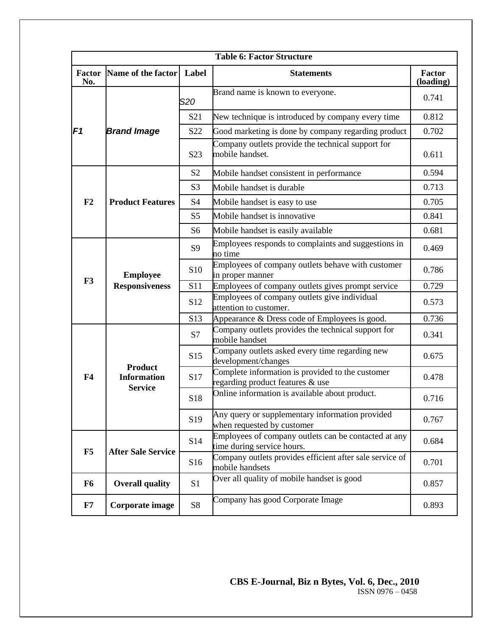|                       | <b>Table 6: Factor Structure</b>     |                                                                |                                                                                      |                     |  |  |  |  |  |  |
|-----------------------|--------------------------------------|----------------------------------------------------------------|--------------------------------------------------------------------------------------|---------------------|--|--|--|--|--|--|
| <b>Factor</b><br>No.  | Name of the factor Label             |                                                                | <b>Statements</b>                                                                    | Factor<br>(loading) |  |  |  |  |  |  |
|                       |                                      | S <sub>20</sub>                                                | Brand name is known to everyone.                                                     | 0.741               |  |  |  |  |  |  |
|                       |                                      | S <sub>21</sub>                                                | New technique is introduced by company every time                                    | 0.812               |  |  |  |  |  |  |
| F1                    | <b>Brand Image</b>                   | S22                                                            | Good marketing is done by company regarding product                                  | 0.702               |  |  |  |  |  |  |
|                       |                                      | S <sub>2</sub> 3                                               | Company outlets provide the technical support for<br>mobile handset.                 | 0.611               |  |  |  |  |  |  |
|                       |                                      | S <sub>2</sub>                                                 | Mobile handset consistent in performance                                             | 0.594               |  |  |  |  |  |  |
|                       |                                      | S <sub>3</sub>                                                 | Mobile handset is durable                                                            | 0.713               |  |  |  |  |  |  |
| F2                    | <b>Product Features</b>              | S <sub>4</sub>                                                 | Mobile handset is easy to use                                                        | 0.705               |  |  |  |  |  |  |
|                       |                                      | S <sub>5</sub>                                                 | Mobile handset is innovative                                                         | 0.841               |  |  |  |  |  |  |
|                       |                                      | S <sub>6</sub>                                                 | Mobile handset is easily available                                                   | 0.681               |  |  |  |  |  |  |
| <b>Employee</b><br>F3 | <b>S9</b>                            | Employees responds to complaints and suggestions in<br>no time | 0.469                                                                                |                     |  |  |  |  |  |  |
|                       | <b>Responsiveness</b>                | S <sub>10</sub>                                                | Employees of company outlets behave with customer<br>in proper manner                | 0.786               |  |  |  |  |  |  |
|                       |                                      | S11                                                            | Employees of company outlets gives prompt service                                    | 0.729               |  |  |  |  |  |  |
|                       |                                      | S <sub>12</sub>                                                | Employees of company outlets give individual<br>attention to customer.               | 0.573               |  |  |  |  |  |  |
|                       |                                      | S13                                                            | Appearance & Dress code of Employees is good.                                        | 0.736               |  |  |  |  |  |  |
|                       |                                      | S7                                                             | Company outlets provides the technical support for<br>mobile handset                 | 0.341               |  |  |  |  |  |  |
|                       | <b>Product</b>                       | S <sub>15</sub>                                                | Company outlets asked every time regarding new<br>development/changes                | 0.675               |  |  |  |  |  |  |
| F <sub>4</sub>        | <b>Information</b><br><b>Service</b> | S17                                                            | Complete information is provided to the customer<br>regarding product features & use | 0.478               |  |  |  |  |  |  |
|                       |                                      | S18                                                            | Online information is available about product.                                       | 0.716               |  |  |  |  |  |  |
|                       |                                      | S <sub>19</sub>                                                | Any query or supplementary information provided<br>when requested by customer        | 0.767               |  |  |  |  |  |  |
| F5                    |                                      | S14                                                            | Employees of company outlets can be contacted at any<br>time during service hours.   | 0.684               |  |  |  |  |  |  |
|                       | <b>After Sale Service</b>            | S16                                                            | Company outlets provides efficient after sale service of<br>mobile handsets          | 0.701               |  |  |  |  |  |  |
| F <sub>6</sub>        | <b>Overall quality</b>               | S <sub>1</sub>                                                 | Over all quality of mobile handset is good                                           | 0.857               |  |  |  |  |  |  |
| F7                    | Corporate image                      | S <sub>8</sub>                                                 | Company has good Corporate Image                                                     | 0.893               |  |  |  |  |  |  |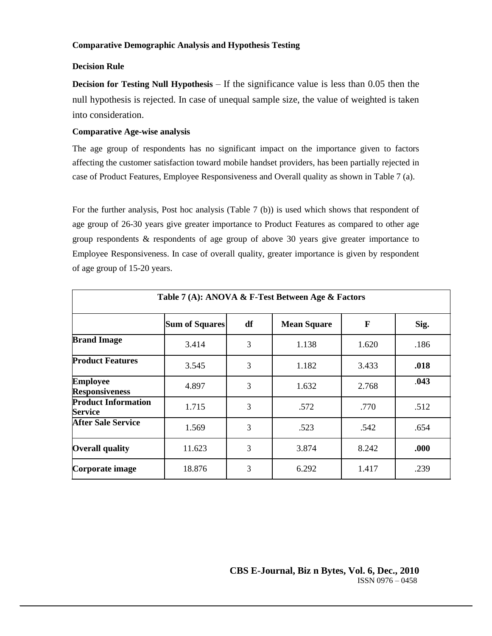# **Comparative Demographic Analysis and Hypothesis Testing**

# **Decision Rule**

**Decision for Testing Null Hypothesis – If the significance value is less than 0.05 then the** null hypothesis is rejected. In case of unequal sample size, the value of weighted is taken into consideration.

# **Comparative Age-wise analysis**

The age group of respondents has no significant impact on the importance given to factors affecting the customer satisfaction toward mobile handset providers, has been partially rejected in case of Product Features, Employee Responsiveness and Overall quality as shown in Table 7 (a).

For the further analysis, Post hoc analysis (Table 7 (b)) is used which shows that respondent of age group of 26-30 years give greater importance to Product Features as compared to other age group respondents & respondents of age group of above 30 years give greater importance to Employee Responsiveness. In case of overall quality, greater importance is given by respondent of age group of 15-20 years.

| Table 7 (A): ANOVA & F-Test Between Age & Factors |                       |    |                    |       |      |  |  |  |  |  |  |
|---------------------------------------------------|-----------------------|----|--------------------|-------|------|--|--|--|--|--|--|
|                                                   | <b>Sum of Squares</b> | df | <b>Mean Square</b> | F     | Sig. |  |  |  |  |  |  |
| <b>Brand Image</b>                                | 3.414                 | 3  | 1.138              | 1.620 | .186 |  |  |  |  |  |  |
| <b>Product Features</b>                           | 3.545                 | 3  | 1.182              | 3.433 | .018 |  |  |  |  |  |  |
| <b>Employee</b><br><b>Responsiveness</b>          | 4.897                 | 3  | 1.632              | 2.768 | .043 |  |  |  |  |  |  |
| <b>Product Information</b><br><b>Service</b>      | 1.715                 | 3  | .572               | .770  | .512 |  |  |  |  |  |  |
| <b>After Sale Service</b>                         | 1.569                 | 3  | .523               | .542  | .654 |  |  |  |  |  |  |
| <b>Overall quality</b>                            | 11.623                | 3  | 3.874              | 8.242 | .000 |  |  |  |  |  |  |
| Corporate image                                   | 18.876                | 3  | 6.292              | 1.417 | .239 |  |  |  |  |  |  |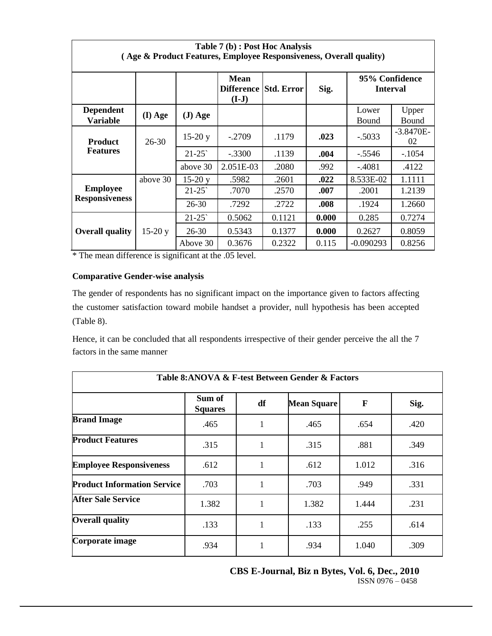| Table 7 (b) : Post Hoc Analysis<br>(Age & Product Features, Employee Responsiveness, Overall quality) |           |           |                                                 |        |       |                                   |                   |  |  |  |  |
|-------------------------------------------------------------------------------------------------------|-----------|-----------|-------------------------------------------------|--------|-------|-----------------------------------|-------------------|--|--|--|--|
|                                                                                                       |           |           | <b>Mean</b><br>Difference Std. Error<br>$(I-J)$ |        | Sig.  | 95% Confidence<br><b>Interval</b> |                   |  |  |  |  |
| <b>Dependent</b><br><b>Variable</b>                                                                   | $(I)$ Age | $(J) Age$ |                                                 |        |       | Lower<br>Bound                    | Upper<br>Bound    |  |  |  |  |
| <b>Product</b>                                                                                        | $26 - 30$ | $15-20y$  | $-.2709$                                        | .1179  | .023  | $-.5033$                          | $-3.8470E-$<br>02 |  |  |  |  |
| <b>Features</b>                                                                                       |           | $21 - 25$ | $-.3300$                                        | .1139  | .004  | $-.5546$                          | $-.1054$          |  |  |  |  |
|                                                                                                       |           | above 30  | 2.051E-03                                       | .2080  | .992  | $-.4081$                          | .4122             |  |  |  |  |
|                                                                                                       | above 30  | $15-20y$  | .5982                                           | .2601  | .022  | 8.533E-02                         | 1.1111            |  |  |  |  |
| <b>Employee</b>                                                                                       |           | $21 - 25$ | .7070                                           | .2570  | .007  | .2001                             | 1.2139            |  |  |  |  |
| <b>Responsiveness</b>                                                                                 |           | $26 - 30$ | .7292                                           | .2722  | .008  | .1924                             | 1.2660            |  |  |  |  |
|                                                                                                       |           | $21 - 25$ | 0.5062                                          | 0.1121 | 0.000 | 0.285                             | 0.7274            |  |  |  |  |
| <b>Overall quality</b>                                                                                | $15-20y$  | $26 - 30$ | 0.5343                                          | 0.1377 | 0.000 | 0.2627                            | 0.8059            |  |  |  |  |
|                                                                                                       |           | Above 30  | 0.3676                                          | 0.2322 | 0.115 | $-0.090293$                       | 0.8256            |  |  |  |  |

\* The mean difference is significant at the .05 level.

# **Comparative Gender-wise analysis**

The gender of respondents has no significant impact on the importance given to factors affecting the customer satisfaction toward mobile handset a provider, null hypothesis has been accepted (Table 8).

Hence, it can be concluded that all respondents irrespective of their gender perceive the all the 7 factors in the same manner

| Table 8: ANOVA & F-test Between Gender & Factors |                          |    |                    |              |      |  |  |  |  |  |  |
|--------------------------------------------------|--------------------------|----|--------------------|--------------|------|--|--|--|--|--|--|
|                                                  | Sum of<br><b>Squares</b> | df | <b>Mean Square</b> | $\mathbf{F}$ | Sig. |  |  |  |  |  |  |
| <b>Brand Image</b>                               | .465                     | 1  | .465               | .654         | .420 |  |  |  |  |  |  |
| <b>Product Features</b>                          | .315                     |    | .315               | .881         | .349 |  |  |  |  |  |  |
| <b>Employee Responsiveness</b>                   | .612                     |    | .612               | 1.012        | .316 |  |  |  |  |  |  |
| <b>Product Information Service</b>               | .703                     |    | .703               | .949         | .331 |  |  |  |  |  |  |
| <b>After Sale Service</b>                        | 1.382                    |    | 1.382              | 1.444        | .231 |  |  |  |  |  |  |
| <b>Overall quality</b>                           | .133                     | 1  | .133               | .255         | .614 |  |  |  |  |  |  |
| Corporate image                                  | .934                     |    | .934               | 1.040        | .309 |  |  |  |  |  |  |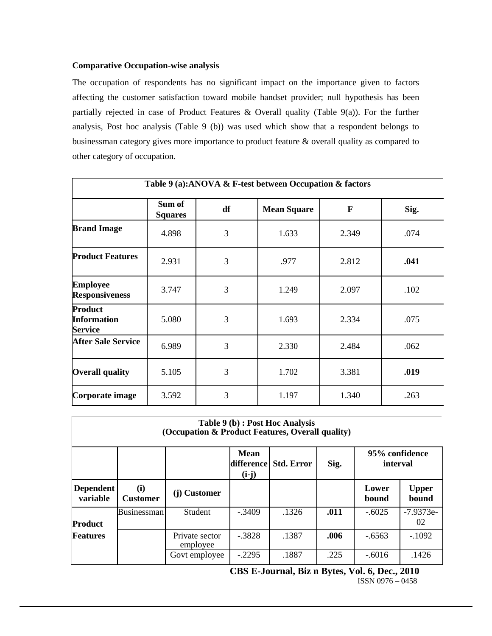# **Comparative Occupation-wise analysis**

The occupation of respondents has no significant impact on the importance given to factors affecting the customer satisfaction toward mobile handset provider; null hypothesis has been partially rejected in case of Product Features & Overall quality (Table 9(a)). For the further analysis, Post hoc analysis (Table 9 (b)) was used which show that a respondent belongs to businessman category gives more importance to product feature & overall quality as compared to other category of occupation.

| Table 9 (a):ANOVA & F-test between Occupation & factors |                          |    |                    |              |      |  |  |  |  |  |  |
|---------------------------------------------------------|--------------------------|----|--------------------|--------------|------|--|--|--|--|--|--|
|                                                         | Sum of<br><b>Squares</b> | df | <b>Mean Square</b> | $\mathbf{F}$ | Sig. |  |  |  |  |  |  |
| <b>Brand Image</b>                                      | 4.898                    | 3  | 1.633              | 2.349        | .074 |  |  |  |  |  |  |
| <b>Product Features</b>                                 | 2.931                    | 3  | .977               | 2.812        | .041 |  |  |  |  |  |  |
| <b>Employee</b><br><b>Responsiveness</b>                | 3.747                    | 3  | 1.249              | 2.097        | .102 |  |  |  |  |  |  |
| Product<br><b>Information</b><br><b>Service</b>         | 5.080                    | 3  | 1.693              | 2.334        | .075 |  |  |  |  |  |  |
| <b>After Sale Service</b>                               | 6.989                    | 3  | 2.330              | 2.484        | .062 |  |  |  |  |  |  |
| <b>Overall quality</b>                                  | 5.105                    | 3  | 1.702              | 3.381        | .019 |  |  |  |  |  |  |
| Corporate image                                         | 3.592                    | 3  | 1.197              | 1.340        | .263 |  |  |  |  |  |  |

| Table 9 (b) : Post Hoc Analysis<br>(Occupation & Product Features, Overall quality)             |                        |                            |          |       |      |                |                       |  |  |
|-------------------------------------------------------------------------------------------------|------------------------|----------------------------|----------|-------|------|----------------|-----------------------|--|--|
| <b>Mean</b><br>95% confidence<br><b>Std. Error</b><br>Sig.<br>difference<br>interval<br>$(i-j)$ |                        |                            |          |       |      |                |                       |  |  |
| <b>Dependent</b><br>variable                                                                    | (i)<br><b>Customer</b> | (j) Customer               |          |       |      | Lower<br>bound | <b>Upper</b><br>bound |  |  |
| <b>Product</b>                                                                                  | <b>Businessman</b>     | <b>Student</b>             | $-.3409$ | .1326 | .011 | $-.6025$       | $-7.9373e-$<br>02     |  |  |
| Features                                                                                        |                        | Private sector<br>employee | $-.3828$ | .1387 | .006 | $-6563$        | $-.1092$              |  |  |
|                                                                                                 |                        | Govt employee              | $-.2295$ | .1887 | .225 | $-.6016$       | .1426                 |  |  |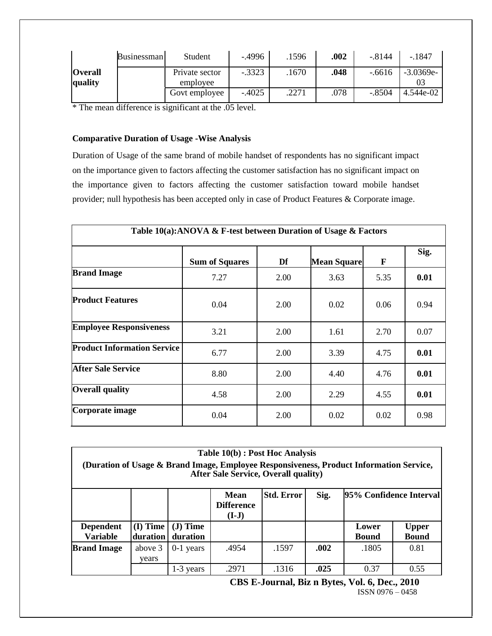|                           | <b>Businessman</b> | Student                    | $-4996$  | .1596 | .002 | $-.8144$ | $-.1847$    |
|---------------------------|--------------------|----------------------------|----------|-------|------|----------|-------------|
| <b>Overall</b><br>quality |                    | Private sector<br>employee | $-.3323$ | .1670 | .048 | $-6616$  | $-3.0369e-$ |
|                           |                    | Govt employee              | $-.4025$ | .2271 | .078 | $-.8504$ | 4.544e-02   |

\* The mean difference is significant at the .05 level.

### **Comparative Duration of Usage -Wise Analysis**

Duration of Usage of the same brand of mobile handset of respondents has no significant impact on the importance given to factors affecting the customer satisfaction has no significant impact on the importance given to factors affecting the customer satisfaction toward mobile handset provider; null hypothesis has been accepted only in case of Product Features & Corporate image.

| Table 10(a):ANOVA & F-test between Duration of Usage & Factors |                       |      |                    |              |      |  |  |
|----------------------------------------------------------------|-----------------------|------|--------------------|--------------|------|--|--|
|                                                                | <b>Sum of Squares</b> | Df   | <b>Mean Square</b> | $\mathbf{F}$ | Sig. |  |  |
| <b>Brand Image</b>                                             | 7.27                  | 2.00 | 3.63               | 5.35         | 0.01 |  |  |
| <b>Product Features</b>                                        | 0.04                  | 2.00 | 0.02               | 0.06         | 0.94 |  |  |
| <b>Employee Responsiveness</b>                                 | 3.21                  | 2.00 | 1.61               | 2.70         | 0.07 |  |  |
| <b>Product Information Service</b>                             | 6.77                  | 2.00 | 3.39               | 4.75         | 0.01 |  |  |
| <b>After Sale Service</b>                                      | 8.80                  | 2.00 | 4.40               | 4.76         | 0.01 |  |  |
| <b>Overall quality</b>                                         | 4.58                  | 2.00 | 2.29               | 4.55         | 0.01 |  |  |
| Corporate image                                                | 0.04                  | 2.00 | 0.02               | 0.02         | 0.98 |  |  |

|                                     |                        |                       | Table 10(b) : Post Hoc Analysis<br>(Duration of Usage & Brand Image, Employee Responsiveness, Product Information Service,<br><b>After Sale Service, Overall quality)</b> |                   |      |                         |                              |  |
|-------------------------------------|------------------------|-----------------------|---------------------------------------------------------------------------------------------------------------------------------------------------------------------------|-------------------|------|-------------------------|------------------------------|--|
|                                     |                        |                       | Mean<br><b>Difference</b><br>$(I-J)$                                                                                                                                      | <b>Std. Error</b> | Sig. | 95% Confidence Interval |                              |  |
| <b>Dependent</b><br><b>Variable</b> | $(I)$ Time<br>duration | $J)$ Time<br>duration |                                                                                                                                                                           |                   |      | Lower<br><b>Bound</b>   | <b>Upper</b><br><b>Bound</b> |  |
| <b>Brand Image</b>                  | above 3<br>vears       | $0-1$ years           | .4954                                                                                                                                                                     | .1597             | .002 | .1805                   | 0.81                         |  |
|                                     |                        | 1-3 years             | .2971                                                                                                                                                                     | .1316             | .025 | 0.37                    | 0.55                         |  |

**CBS E-Journal, Biz n Bytes, Vol. 6, Dec., 2010**

ISSN 0976 – 0458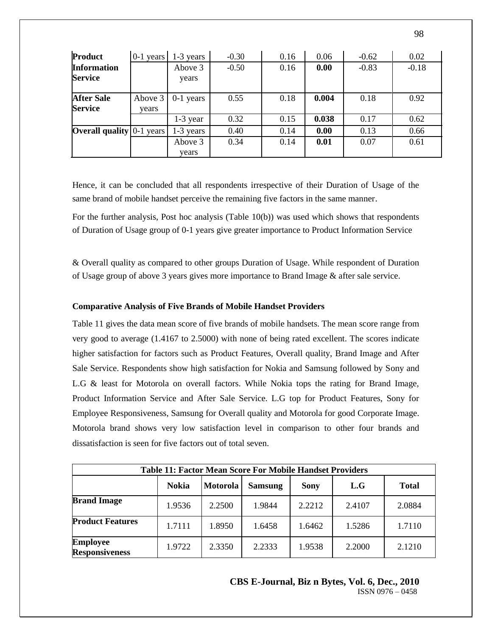| Product                              | $0-1$ years      | 1-3 years        | $-0.30$ | 0.16 | 0.06  | $-0.62$ | 0.02    |
|--------------------------------------|------------------|------------------|---------|------|-------|---------|---------|
| <b>Information</b><br><b>Service</b> |                  | Above 3<br>years | $-0.50$ | 0.16 | 0.00  | $-0.83$ | $-0.18$ |
| <b>After Sale</b><br><b>Service</b>  | Above 3<br>years | $0-1$ years      | 0.55    | 0.18 | 0.004 | 0.18    | 0.92    |
|                                      |                  | $1-3$ year       | 0.32    | 0.15 | 0.038 | 0.17    | 0.62    |
| <b>Overall quality</b> $0-1$ years   |                  | $1-3$ years      | 0.40    | 0.14 | 0.00  | 0.13    | 0.66    |
|                                      |                  | Above 3<br>years | 0.34    | 0.14 | 0.01  | 0.07    | 0.61    |

Hence, it can be concluded that all respondents irrespective of their Duration of Usage of the same brand of mobile handset perceive the remaining five factors in the same manner.

For the further analysis, Post hoc analysis (Table 10(b)) was used which shows that respondents of Duration of Usage group of 0-1 years give greater importance to Product Information Service

& Overall quality as compared to other groups Duration of Usage. While respondent of Duration of Usage group of above 3 years gives more importance to Brand Image & after sale service.

### **Comparative Analysis of Five Brands of Mobile Handset Providers**

Table 11 gives the data mean score of five brands of mobile handsets. The mean score range from very good to average (1.4167 to 2.5000) with none of being rated excellent. The scores indicate higher satisfaction for factors such as Product Features, Overall quality, Brand Image and After Sale Service. Respondents show high satisfaction for Nokia and Samsung followed by Sony and L.G & least for Motorola on overall factors. While Nokia tops the rating for Brand Image, Product Information Service and After Sale Service. L.G top for Product Features, Sony for Employee Responsiveness, Samsung for Overall quality and Motorola for good Corporate Image. Motorola brand shows very low satisfaction level in comparison to other four brands and dissatisfaction is seen for five factors out of total seven.

| <b>Table 11: Factor Mean Score For Mobile Handset Providers</b> |              |          |                |             |        |              |  |  |  |
|-----------------------------------------------------------------|--------------|----------|----------------|-------------|--------|--------------|--|--|--|
|                                                                 | <b>Nokia</b> | Motorola | <b>Samsung</b> | <b>Sony</b> | L.G    | <b>Total</b> |  |  |  |
| <b>Brand Image</b>                                              | 1.9536       | 2.2500   | 1.9844         | 2.2212      | 2.4107 | 2.0884       |  |  |  |
| <b>Product Features</b>                                         | 1.7111       | 1.8950   | 1.6458         | 1.6462      | 1.5286 | 1.7110       |  |  |  |
| <b>Employee</b><br><b>Responsiveness</b>                        | 1.9722       | 2.3350   | 2.2333         | 1.9538      | 2.2000 | 2.1210       |  |  |  |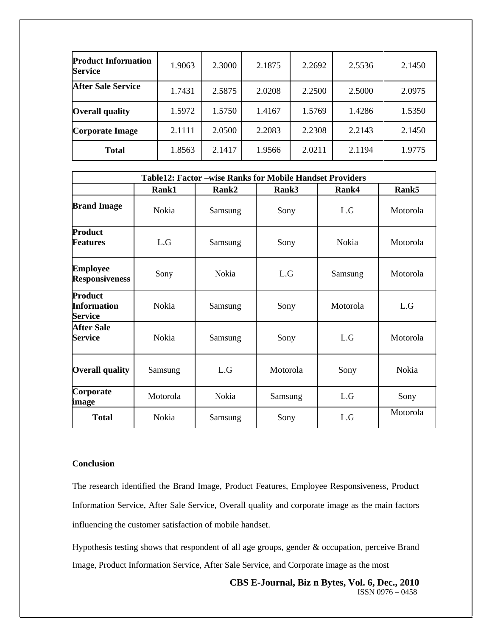| <b>Product Information</b><br><b>Service</b> | 1.9063 | 2.3000 | 2.1875 | 2.2692 | 2.5536 | 2.1450 |
|----------------------------------------------|--------|--------|--------|--------|--------|--------|
| <b>After Sale Service</b>                    | 1.7431 | 2.5875 | 2.0208 | 2.2500 | 2.5000 | 2.0975 |
| <b>Overall quality</b>                       | 1.5972 | 1.5750 | 1.4167 | 1.5769 | 1.4286 | 1.5350 |
| <b>Corporate Image</b>                       | 2.1111 | 2.0500 | 2.2083 | 2.2308 | 2.2143 | 2.1450 |
| <b>Total</b>                                 | 1.8563 | 2.1417 | 1.9566 | 2.0211 | 2.1194 | 1.9775 |

|                                                        | <b>Table12: Factor -wise Ranks for Mobile Handset Providers</b> |         |          |          |          |  |  |  |  |
|--------------------------------------------------------|-----------------------------------------------------------------|---------|----------|----------|----------|--|--|--|--|
|                                                        | Rank1                                                           | Rank2   | Rank3    | Rank4    | Rank5    |  |  |  |  |
| <b>Brand Image</b>                                     | Nokia                                                           | Samsung | Sony     | L.G      | Motorola |  |  |  |  |
| Product<br><b>Features</b>                             | L.G                                                             | Samsung | Sony     | Nokia    | Motorola |  |  |  |  |
| <b>Employee</b><br><b>Responsiveness</b>               | Sony                                                            | Nokia   | L.G      | Samsung  | Motorola |  |  |  |  |
| <b>Product</b><br><b>Information</b><br><b>Service</b> | Nokia                                                           | Samsung | Sony     | Motorola | L.G      |  |  |  |  |
| <b>After Sale</b><br><b>Service</b>                    | Nokia                                                           | Samsung | Sony     | L.G      | Motorola |  |  |  |  |
| <b>Overall quality</b>                                 | Samsung                                                         | L.G     | Motorola | Sony     | Nokia    |  |  |  |  |
| Corporate<br>image                                     | Motorola                                                        | Nokia   | Samsung  | L.G      | Sony     |  |  |  |  |
| <b>Total</b>                                           | Nokia                                                           | Samsung | Sony     | L.G      | Motorola |  |  |  |  |

# **Conclusion**

The research identified the Brand Image, Product Features, Employee Responsiveness, Product Information Service, After Sale Service, Overall quality and corporate image as the main factors influencing the customer satisfaction of mobile handset.

Hypothesis testing shows that respondent of all age groups, gender & occupation, perceive Brand Image, Product Information Service, After Sale Service, and Corporate image as the most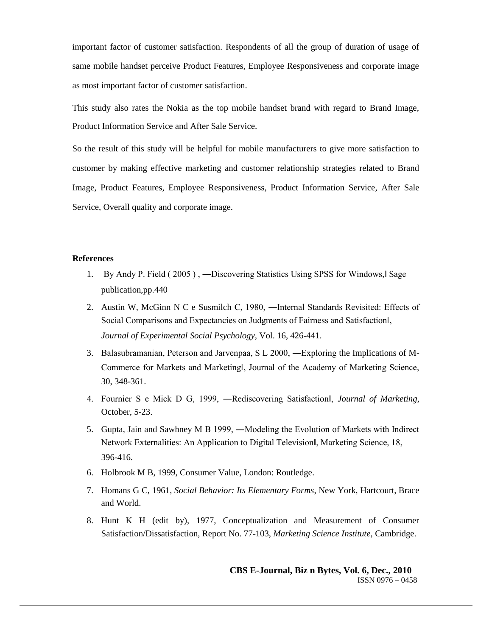important factor of customer satisfaction. Respondents of all the group of duration of usage of same mobile handset perceive Product Features, Employee Responsiveness and corporate image as most important factor of customer satisfaction.

This study also rates the Nokia as the top mobile handset brand with regard to Brand Image, Product Information Service and After Sale Service.

So the result of this study will be helpful for mobile manufacturers to give more satisfaction to customer by making effective marketing and customer relationship strategies related to Brand Image, Product Features, Employee Responsiveness, Product Information Service, After Sale Service, Overall quality and corporate image.

### **References**

- 1. By Andy P. Field (2005), —Discovering Statistics Using SPSS for Windows, Sage publication,pp.440
- 2. Austin W, McGinn N C e Susmilch C, 1980, ―Internal Standards Revisited: Effects of Social Comparisons and Expectancies on Judgments of Fairness and Satisfaction‖, *Journal of Experimental Social Psychology,* Vol. 16, 426-441.
- 3. Balasubramanian, Peterson and Jarvenpaa, S L 2000, ―Exploring the Implications of M-Commerce for Markets and Marketing‖, Journal of the Academy of Marketing Science, 30, 348-361.
- 4. Fournier S e Mick D G, 1999, ―Rediscovering Satisfaction‖, *Journal of Marketing*, October, 5-23.
- 5. Gupta, Jain and Sawhney M B 1999, ―Modeling the Evolution of Markets with Indirect Network Externalities: An Application to Digital Television‖, Marketing Science, 18, 396-416.
- 6. Holbrook M B, 1999, Consumer Value, London: Routledge.
- 7. Homans G C, 1961, *Social Behavior: Its Elementary Forms*, New York, Hartcourt, Brace and World.
- 8. Hunt K H (edit by), 1977, Conceptualization and Measurement of Consumer Satisfaction/Dissatisfaction, Report No. 77-103, *Marketing Science Institute,* Cambridge.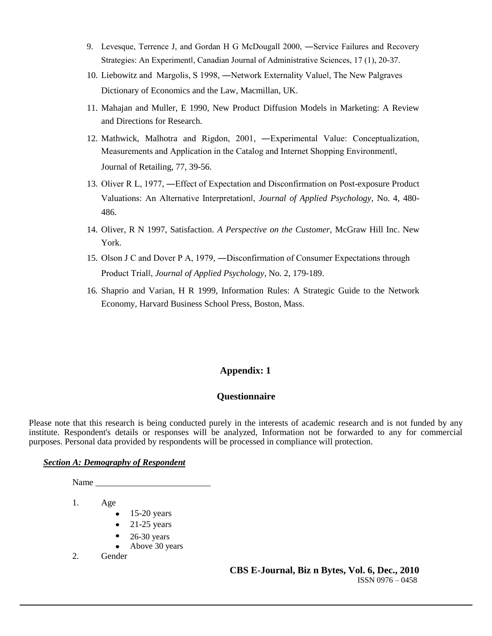- 9. Levesque, Terrence J, and Gordan H G McDougall 2000, ―Service Failures and Recovery Strategies: An Experimentl, Canadian Journal of Administrative Sciences, 17 (1), 20-37.
- 10. Liebowitz and Margolis, S 1998, ―Network Externality Value‖, The New Palgraves Dictionary of Economics and the Law, Macmillan, UK.
- 11. Mahajan and Muller, E 1990, New Product Diffusion Models in Marketing: A Review and Directions for Research.
- 12. Mathwick, Malhotra and Rigdon, 2001, ―Experimental Value: Conceptualization, Measurements and Application in the Catalog and Internet Shopping Environment‖, Journal of Retailing, 77, 39-56.
- 13. Oliver R L, 1977, ―Effect of Expectation and Disconfirmation on Post-exposure Product Valuations: An Alternative Interpretation‖, *Journal of Applied Psychology*, No. 4, 480- 486.
- 14. Oliver, R N 1997, Satisfaction. *A Perspective on the Customer,* McGraw Hill Inc. New York.
- 15. Olson J C and Dover P A, 1979, ―Disconfirmation of Consumer Expectations through Product Trial‖, *Journal of Applied Psychology*, No. 2, 179-189.
- 16. Shaprio and Varian, H R 1999, Information Rules: A Strategic Guide to the Network Economy, Harvard Business School Press, Boston, Mass.

# **Appendix: 1**

# **Questionnaire**

Please note that this research is being conducted purely in the interests of academic research and is not funded by any institute. Respondent's details or responses will be analyzed, Information not be forwarded to any for commercial purposes. Personal data provided by respondents will be processed in compliance will protection.

### *Section A: Demography of Respondent*

Name

1. Age

- $\bullet$  15-20 years
- $\bullet$  21-25 years
- 26-30 years
- Above 30 years
- 2. Gender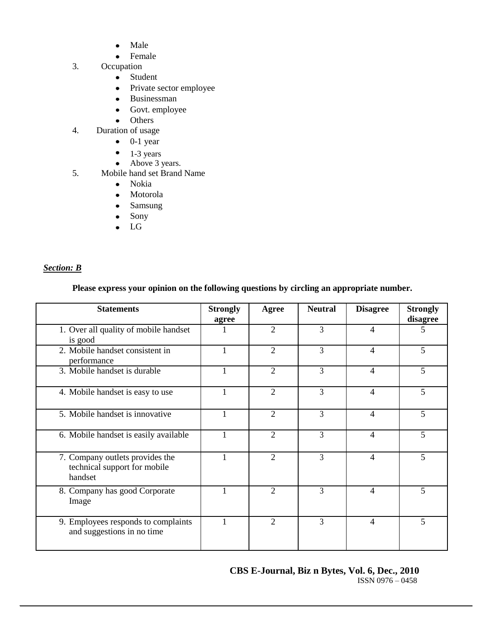- Male  $\bullet$
- Female
- 3. Occupation
	- Student
	- Private sector employee
	- Businessman
	- Govt. employee
	- Others
- 4. Duration of usage
	- $\bullet$  0-1 year
	- $\bullet$  1-3 years
	- Above 3 years.
- 5. Mobile hand set Brand Name
	- Nokia
	- Motorola
	- Samsung  $\bullet$
	- $\bullet$ Sony
	- LG

# *Section: B*

# **Please express your opinion on the following questions by circling an appropriate number.**

| <b>Statements</b>                                                          | <b>Strongly</b><br>agree | Agree                       | <b>Neutral</b> | <b>Disagree</b> | <b>Strongly</b><br>disagree |
|----------------------------------------------------------------------------|--------------------------|-----------------------------|----------------|-----------------|-----------------------------|
| 1. Over all quality of mobile handset<br>is good                           | 1                        | $\mathcal{D}_{\mathcal{L}}$ | 3              | 4               | 5                           |
| 2. Mobile handset consistent in<br>performance                             | 1                        | $\overline{2}$              | 3              | $\overline{4}$  | $\overline{5}$              |
| 3. Mobile handset is durable                                               | 1                        | $\overline{2}$              | 3              | $\overline{4}$  | 5                           |
| 4. Mobile handset is easy to use                                           |                          | $\overline{2}$              | 3              | 4               | 5                           |
| 5. Mobile handset is innovative                                            | $\mathbf{1}$             | $\overline{2}$              | 3              | $\overline{4}$  | 5                           |
| 6. Mobile handset is easily available                                      | 1                        | $\overline{2}$              | 3              | $\overline{4}$  | 5                           |
| 7. Company outlets provides the<br>technical support for mobile<br>handset | 1                        | $\mathcal{D}_{\mathcal{L}}$ | 3              | 4               | 5                           |
| 8. Company has good Corporate<br>Image                                     | 1                        | $\mathcal{D}_{\mathcal{L}}$ | 3              | 4               | 5                           |
| 9. Employees responds to complaints<br>and suggestions in no time          | $\mathbf{1}$             | $\overline{2}$              | 3              | $\overline{4}$  | 5                           |